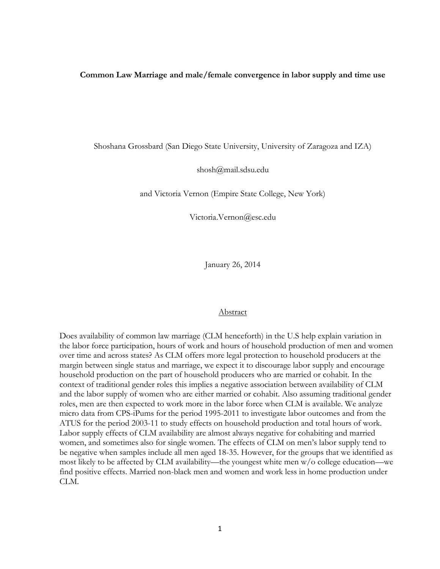#### **Common Law Marriage and male/female convergence in labor supply and time use**

Shoshana Grossbard (San Diego State University, University of Zaragoza and IZA)

shosh@mail.sdsu.edu

and Victoria Vernon (Empire State College, New York)

Victoria.Vernon@esc.edu

January 26, 2014

#### Abstract

Does availability of common law marriage (CLM henceforth) in the U.S help explain variation in the labor force participation, hours of work and hours of household production of men and women over time and across states? As CLM offers more legal protection to household producers at the margin between single status and marriage, we expect it to discourage labor supply and encourage household production on the part of household producers who are married or cohabit. In the context of traditional gender roles this implies a negative association between availability of CLM and the labor supply of women who are either married or cohabit. Also assuming traditional gender roles, men are then expected to work more in the labor force when CLM is available. We analyze micro data from CPS-iPums for the period 1995-2011 to investigate labor outcomes and from the ATUS for the period 2003-11 to study effects on household production and total hours of work. Labor supply effects of CLM availability are almost always negative for cohabiting and married women, and sometimes also for single women. The effects of CLM on men's labor supply tend to be negative when samples include all men aged 18-35. However, for the groups that we identified as most likely to be affected by CLM availability—the youngest white men w/o college education—we find positive effects. Married non-black men and women and work less in home production under CLM.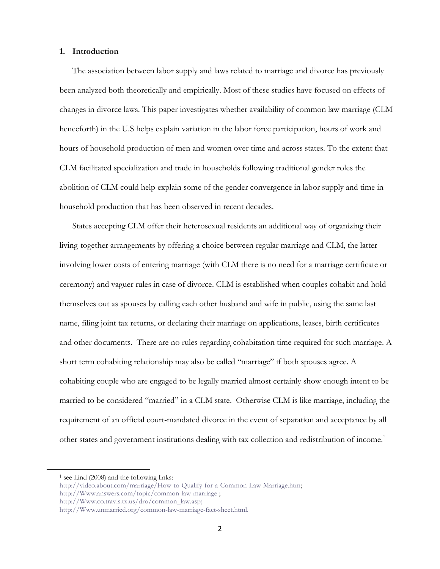#### **1. Introduction**

The association between labor supply and laws related to marriage and divorce has previously been analyzed both theoretically and empirically. Most of these studies have focused on effects of changes in divorce laws. This paper investigates whether availability of common law marriage (CLM henceforth) in the U.S helps explain variation in the labor force participation, hours of work and hours of household production of men and women over time and across states. To the extent that CLM facilitated specialization and trade in households following traditional gender roles the abolition of CLM could help explain some of the gender convergence in labor supply and time in household production that has been observed in recent decades.

States accepting CLM offer their heterosexual residents an additional way of organizing their living-together arrangements by offering a choice between regular marriage and CLM, the latter involving lower costs of entering marriage (with CLM there is no need for a marriage certificate or ceremony) and vaguer rules in case of divorce. CLM is established when couples cohabit and hold themselves out as spouses by calling each other husband and wife in public, using the same last name, filing joint tax returns, or declaring their marriage on applications, leases, birth certificates and other documents. There are no rules regarding cohabitation time required for such marriage. A short term cohabiting relationship may also be called "marriage" if both spouses agree. A cohabiting couple who are engaged to be legally married almost certainly show enough intent to be married to be considered "married" in a CLM state. Otherwise CLM is like marriage, including the requirement of an official court-mandated divorce in the event of separation and acceptance by all other states and government institutions dealing with tax collection and redistribution of income.<sup>1</sup>

 $\overline{a}$ 

<sup>&</sup>lt;sup>1</sup> see Lind (2008) and the following links:

[http://video.about.com/marriage/How-to-Qualify-for-a-Common-Law-Marriage.htm;](http://video.about.com/marriage/How-to-Qualify-for-a-Common-Law-Marriage.htm) 

[http://Www.answers.com/topic/common-law-marriage](http://www.answers.com/topic/common-law-marriage) ;

[http://Www.co.travis.tx.us/dro/common\\_law.asp;](http://www.co.travis.tx.us/dro/common_law.asp)

[http://Www.unmarried.org/common-law-marriage-fact-sheet.html.](http://www.unmarried.org/common-law-marriage-fact-sheet.html)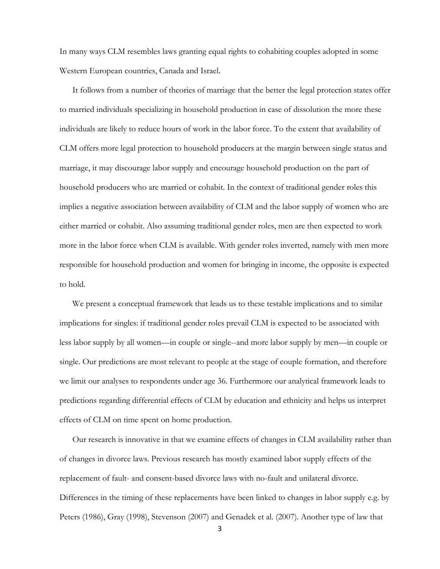In many ways CLM resembles laws granting equal rights to cohabiting couples adopted in some Western European countries, Canada and Israel.

It follows from a number of theories of marriage that the better the legal protection states offer to married individuals specializing in household production in case of dissolution the more these individuals are likely to reduce hours of work in the labor force. To the extent that availability of CLM offers more legal protection to household producers at the margin between single status and marriage, it may discourage labor supply and encourage household production on the part of household producers who are married or cohabit. In the context of traditional gender roles this implies a negative association between availability of CLM and the labor supply of women who are either married or cohabit. Also assuming traditional gender roles, men are then expected to work more in the labor force when CLM is available. With gender roles inverted, namely with men more responsible for household production and women for bringing in income, the opposite is expected to hold.

We present a conceptual framework that leads us to these testable implications and to similar implications for singles: if traditional gender roles prevail CLM is expected to be associated with less labor supply by all women—in couple or single--and more labor supply by men—in couple or single. Our predictions are most relevant to people at the stage of couple formation, and therefore we limit our analyses to respondents under age 36. Furthermore our analytical framework leads to predictions regarding differential effects of CLM by education and ethnicity and helps us interpret effects of CLM on time spent on home production.

Our research is innovative in that we examine effects of changes in CLM availability rather than of changes in divorce laws. Previous research has mostly examined labor supply effects of the replacement of fault- and consent-based divorce laws with no-fault and unilateral divorce. Differences in the timing of these replacements have been linked to changes in labor supply e.g. by Peters (1986), Gray (1998), Stevenson (2007) and Genadek et al. (2007). Another type of law that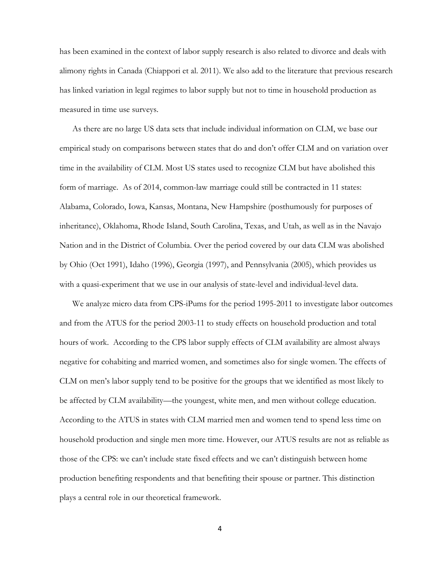has been examined in the context of labor supply research is also related to divorce and deals with alimony rights in Canada (Chiappori et al. 2011). We also add to the literature that previous research has linked variation in legal regimes to labor supply but not to time in household production as measured in time use surveys.

As there are no large US data sets that include individual information on CLM, we base our empirical study on comparisons between states that do and don't offer CLM and on variation over time in the availability of CLM. Most US states used to recognize CLM but have abolished this form of marriage. As of 2014, common-law marriage could still be contracted in 11 states: Alabama, Colorado, Iowa, Kansas, Montana, New Hampshire (posthumously for purposes of inheritance), Oklahoma, Rhode Island, South Carolina, Texas, and Utah, as well as in the Navajo Nation and in the District of Columbia. Over the period covered by our data CLM was abolished by Ohio (Oct 1991), Idaho (1996), Georgia (1997), and Pennsylvania (2005), which provides us with a quasi-experiment that we use in our analysis of state-level and individual-level data.

We analyze micro data from CPS-iPums for the period 1995-2011 to investigate labor outcomes and from the ATUS for the period 2003-11 to study effects on household production and total hours of work. According to the CPS labor supply effects of CLM availability are almost always negative for cohabiting and married women, and sometimes also for single women. The effects of CLM on men's labor supply tend to be positive for the groups that we identified as most likely to be affected by CLM availability—the youngest, white men, and men without college education. According to the ATUS in states with CLM married men and women tend to spend less time on household production and single men more time. However, our ATUS results are not as reliable as those of the CPS: we can't include state fixed effects and we can't distinguish between home production benefiting respondents and that benefiting their spouse or partner. This distinction plays a central role in our theoretical framework.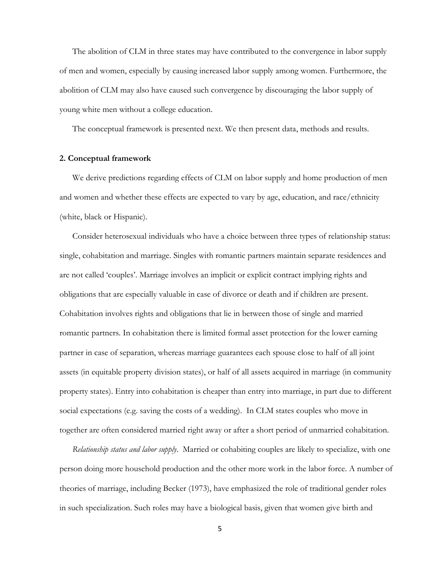The abolition of CLM in three states may have contributed to the convergence in labor supply of men and women, especially by causing increased labor supply among women. Furthermore, the abolition of CLM may also have caused such convergence by discouraging the labor supply of young white men without a college education.

The conceptual framework is presented next. We then present data, methods and results.

#### **2. Conceptual framework**

We derive predictions regarding effects of CLM on labor supply and home production of men and women and whether these effects are expected to vary by age, education, and race/ethnicity (white, black or Hispanic).

Consider heterosexual individuals who have a choice between three types of relationship status: single, cohabitation and marriage. Singles with romantic partners maintain separate residences and are not called 'couples'. Marriage involves an implicit or explicit contract implying rights and obligations that are especially valuable in case of divorce or death and if children are present. Cohabitation involves rights and obligations that lie in between those of single and married romantic partners. In cohabitation there is limited formal asset protection for the lower earning partner in case of separation, whereas marriage guarantees each spouse close to half of all joint assets (in equitable property division states), or half of all assets acquired in marriage (in community property states). Entry into cohabitation is cheaper than entry into marriage, in part due to different social expectations (e.g. saving the costs of a wedding). In CLM states couples who move in together are often considered married right away or after a short period of unmarried cohabitation.

*Relationship status and labor supply*. Married or cohabiting couples are likely to specialize, with one person doing more household production and the other more work in the labor force. A number of theories of marriage, including Becker (1973), have emphasized the role of traditional gender roles in such specialization. Such roles may have a biological basis, given that women give birth and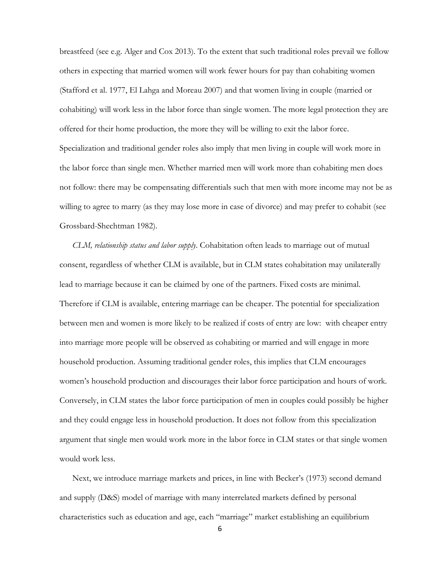breastfeed (see e.g. Alger and Cox 2013). To the extent that such traditional roles prevail we follow others in expecting that married women will work fewer hours for pay than cohabiting women (Stafford et al. 1977, El Lahga and Moreau 2007) and that women living in couple (married or cohabiting) will work less in the labor force than single women. The more legal protection they are offered for their home production, the more they will be willing to exit the labor force. Specialization and traditional gender roles also imply that men living in couple will work more in the labor force than single men. Whether married men will work more than cohabiting men does not follow: there may be compensating differentials such that men with more income may not be as willing to agree to marry (as they may lose more in case of divorce) and may prefer to cohabit (see Grossbard-Shechtman 1982).

*CLM, relationship status and labor supply*. Cohabitation often leads to marriage out of mutual consent, regardless of whether CLM is available, but in CLM states cohabitation may unilaterally lead to marriage because it can be claimed by one of the partners. Fixed costs are minimal. Therefore if CLM is available, entering marriage can be cheaper. The potential for specialization between men and women is more likely to be realized if costs of entry are low: with cheaper entry into marriage more people will be observed as cohabiting or married and will engage in more household production. Assuming traditional gender roles, this implies that CLM encourages women's household production and discourages their labor force participation and hours of work. Conversely, in CLM states the labor force participation of men in couples could possibly be higher and they could engage less in household production. It does not follow from this specialization argument that single men would work more in the labor force in CLM states or that single women would work less.

Next, we introduce marriage markets and prices, in line with Becker's (1973) second demand and supply (D&S) model of marriage with many interrelated markets defined by personal characteristics such as education and age, each "marriage" market establishing an equilibrium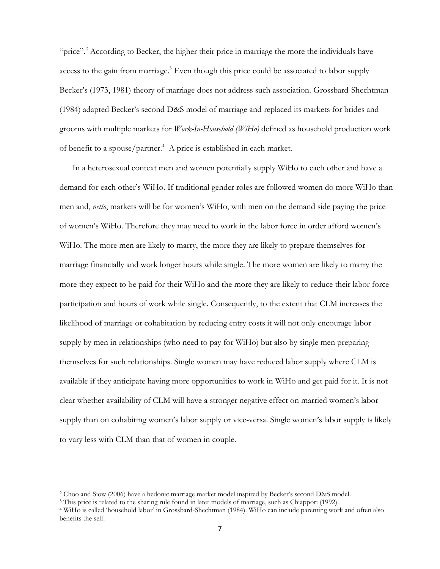"price"<sup>2</sup>. According to Becker, the higher their price in marriage the more the individuals have access to the gain from marriage.<sup>3</sup> Even though this price could be associated to labor supply Becker's (1973, 1981) theory of marriage does not address such association. Grossbard-Shechtman (1984) adapted Becker's second D&S model of marriage and replaced its markets for brides and grooms with multiple markets for *Work-In-Household (WiHo)* defined as household production work of benefit to a spouse/partner. $4$  A price is established in each market.

In a heterosexual context men and women potentially supply WiHo to each other and have a demand for each other's WiHo. If traditional gender roles are followed women do more WiHo than men and, *netto*, markets will be for women's WiHo, with men on the demand side paying the price of women's WiHo. Therefore they may need to work in the labor force in order afford women's WiHo. The more men are likely to marry, the more they are likely to prepare themselves for marriage financially and work longer hours while single. The more women are likely to marry the more they expect to be paid for their WiHo and the more they are likely to reduce their labor force participation and hours of work while single. Consequently, to the extent that CLM increases the likelihood of marriage or cohabitation by reducing entry costs it will not only encourage labor supply by men in relationships (who need to pay for WiHo) but also by single men preparing themselves for such relationships. Single women may have reduced labor supply where CLM is available if they anticipate having more opportunities to work in WiHo and get paid for it. It is not clear whether availability of CLM will have a stronger negative effect on married women's labor supply than on cohabiting women's labor supply or vice-versa. Single women's labor supply is likely to vary less with CLM than that of women in couple.

 $\overline{a}$ 

<sup>2</sup> Choo and Siow (2006) have a hedonic marriage market model inspired by Becker's second D&S model.

<sup>3</sup> This price is related to the sharing rule found in later models of marriage, such as Chiappori (1992).

<sup>4</sup> WiHo is called 'household labor' in Grossbard-Shechtman (1984). WiHo can include parenting work and often also benefits the self.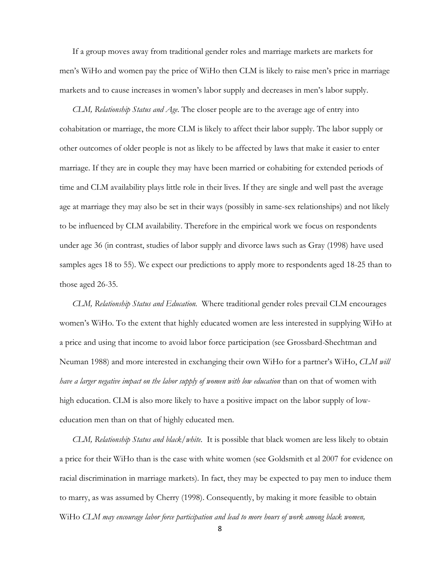If a group moves away from traditional gender roles and marriage markets are markets for men's WiHo and women pay the price of WiHo then CLM is likely to raise men's price in marriage markets and to cause increases in women's labor supply and decreases in men's labor supply.

*CLM, Relationship Status and Age.* The closer people are to the average age of entry into cohabitation or marriage, the more CLM is likely to affect their labor supply. The labor supply or other outcomes of older people is not as likely to be affected by laws that make it easier to enter marriage. If they are in couple they may have been married or cohabiting for extended periods of time and CLM availability plays little role in their lives. If they are single and well past the average age at marriage they may also be set in their ways (possibly in same-sex relationships) and not likely to be influenced by CLM availability. Therefore in the empirical work we focus on respondents under age 36 (in contrast, studies of labor supply and divorce laws such as Gray (1998) have used samples ages 18 to 55). We expect our predictions to apply more to respondents aged 18-25 than to those aged 26-35.

*CLM, Relationship Status and Education.* Where traditional gender roles prevail CLM encourages women's WiHo. To the extent that highly educated women are less interested in supplying WiHo at a price and using that income to avoid labor force participation (see Grossbard-Shechtman and Neuman 1988) and more interested in exchanging their own WiHo for a partner's WiHo, *CLM will have a larger negative impact on the labor supply of women with low education* than on that of women with high education. CLM is also more likely to have a positive impact on the labor supply of loweducation men than on that of highly educated men.

*CLM, Relationship Status and black/white*. It is possible that black women are less likely to obtain a price for their WiHo than is the case with white women (see Goldsmith et al 2007 for evidence on racial discrimination in marriage markets). In fact, they may be expected to pay men to induce them to marry, as was assumed by Cherry (1998). Consequently, by making it more feasible to obtain WiHo *CLM may encourage labor force participation and lead to more hours of work among black women,*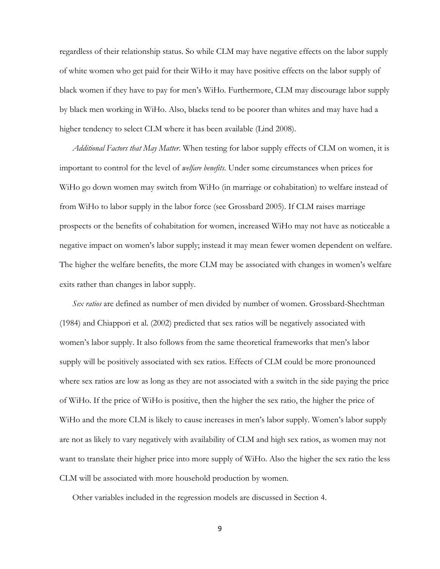regardless of their relationship status. So while CLM may have negative effects on the labor supply of white women who get paid for their WiHo it may have positive effects on the labor supply of black women if they have to pay for men's WiHo. Furthermore, CLM may discourage labor supply by black men working in WiHo. Also, blacks tend to be poorer than whites and may have had a higher tendency to select CLM where it has been available (Lind 2008).

*Additional Factors that May Matter*. When testing for labor supply effects of CLM on women, it is important to control for the level of *welfare benefits*. Under some circumstances when prices for WiHo go down women may switch from WiHo (in marriage or cohabitation) to welfare instead of from WiHo to labor supply in the labor force (see Grossbard 2005). If CLM raises marriage prospects or the benefits of cohabitation for women, increased WiHo may not have as noticeable a negative impact on women's labor supply; instead it may mean fewer women dependent on welfare. The higher the welfare benefits, the more CLM may be associated with changes in women's welfare exits rather than changes in labor supply.

*Sex ratios* are defined as number of men divided by number of women. Grossbard-Shechtman (1984) and Chiappori et al. (2002) predicted that sex ratios will be negatively associated with women's labor supply. It also follows from the same theoretical frameworks that men's labor supply will be positively associated with sex ratios. Effects of CLM could be more pronounced where sex ratios are low as long as they are not associated with a switch in the side paying the price of WiHo. If the price of WiHo is positive, then the higher the sex ratio, the higher the price of WiHo and the more CLM is likely to cause increases in men's labor supply. Women's labor supply are not as likely to vary negatively with availability of CLM and high sex ratios, as women may not want to translate their higher price into more supply of WiHo. Also the higher the sex ratio the less CLM will be associated with more household production by women.

Other variables included in the regression models are discussed in Section 4.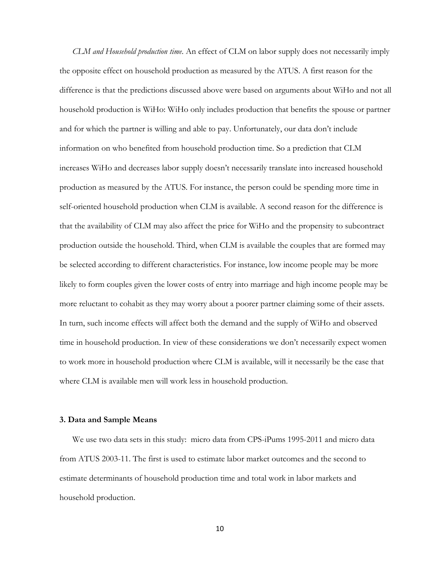*CLM and Household production time*. An effect of CLM on labor supply does not necessarily imply the opposite effect on household production as measured by the ATUS. A first reason for the difference is that the predictions discussed above were based on arguments about WiHo and not all household production is WiHo: WiHo only includes production that benefits the spouse or partner and for which the partner is willing and able to pay. Unfortunately, our data don't include information on who benefited from household production time. So a prediction that CLM increases WiHo and decreases labor supply doesn't necessarily translate into increased household production as measured by the ATUS. For instance, the person could be spending more time in self-oriented household production when CLM is available. A second reason for the difference is that the availability of CLM may also affect the price for WiHo and the propensity to subcontract production outside the household. Third, when CLM is available the couples that are formed may be selected according to different characteristics. For instance, low income people may be more likely to form couples given the lower costs of entry into marriage and high income people may be more reluctant to cohabit as they may worry about a poorer partner claiming some of their assets. In turn, such income effects will affect both the demand and the supply of WiHo and observed time in household production. In view of these considerations we don't necessarily expect women to work more in household production where CLM is available, will it necessarily be the case that where CLM is available men will work less in household production.

#### **3. Data and Sample Means**

We use two data sets in this study: micro data from CPS-iPums 1995-2011 and micro data from ATUS 2003-11. The first is used to estimate labor market outcomes and the second to estimate determinants of household production time and total work in labor markets and household production.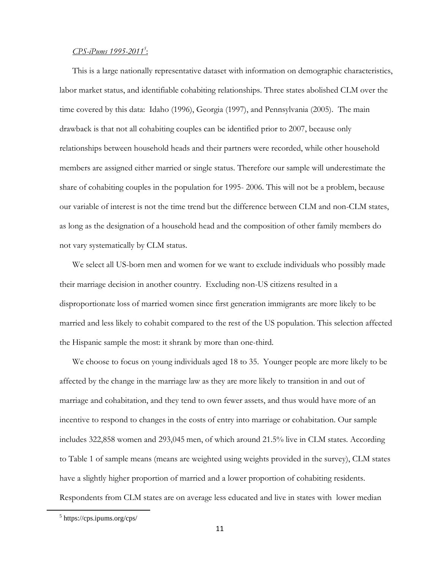## *CPS-iPums 1995-2011<sup>5</sup>* :

This is a large nationally representative dataset with information on demographic characteristics, labor market status, and identifiable cohabiting relationships. Three states abolished CLM over the time covered by this data: Idaho (1996), Georgia (1997), and Pennsylvania (2005). The main drawback is that not all cohabiting couples can be identified prior to 2007, because only relationships between household heads and their partners were recorded, while other household members are assigned either married or single status. Therefore our sample will underestimate the share of cohabiting couples in the population for 1995- 2006. This will not be a problem, because our variable of interest is not the time trend but the difference between CLM and non-CLM states, as long as the designation of a household head and the composition of other family members do not vary systematically by CLM status.

We select all US-born men and women for we want to exclude individuals who possibly made their marriage decision in another country. Excluding non-US citizens resulted in a disproportionate loss of married women since first generation immigrants are more likely to be married and less likely to cohabit compared to the rest of the US population. This selection affected the Hispanic sample the most: it shrank by more than one-third.

We choose to focus on young individuals aged 18 to 35. Younger people are more likely to be affected by the change in the marriage law as they are more likely to transition in and out of marriage and cohabitation, and they tend to own fewer assets, and thus would have more of an incentive to respond to changes in the costs of entry into marriage or cohabitation. Our sample includes 322,858 women and 293,045 men, of which around 21.5% live in CLM states. According to Table 1 of sample means (means are weighted using weights provided in the survey), CLM states have a slightly higher proportion of married and a lower proportion of cohabiting residents. Respondents from CLM states are on average less educated and live in states with lower median

 $\overline{a}$ 

<sup>5</sup> https://cps.ipums.org/cps/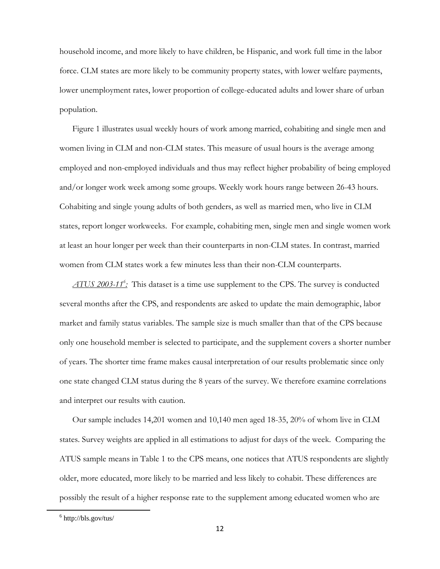household income, and more likely to have children, be Hispanic, and work full time in the labor force. CLM states are more likely to be community property states, with lower welfare payments, lower unemployment rates, lower proportion of college-educated adults and lower share of urban population.

Figure 1 illustrates usual weekly hours of work among married, cohabiting and single men and women living in CLM and non-CLM states. This measure of usual hours is the average among employed and non-employed individuals and thus may reflect higher probability of being employed and/or longer work week among some groups. Weekly work hours range between 26-43 hours. Cohabiting and single young adults of both genders, as well as married men, who live in CLM states, report longer workweeks. For example, cohabiting men, single men and single women work at least an hour longer per week than their counterparts in non-CLM states. In contrast, married women from CLM states work a few minutes less than their non-CLM counterparts.

*ATUS 2003-11<sup>6</sup> :* This dataset is a time use supplement to the CPS. The survey is conducted several months after the CPS, and respondents are asked to update the main demographic, labor market and family status variables. The sample size is much smaller than that of the CPS because only one household member is selected to participate, and the supplement covers a shorter number of years. The shorter time frame makes causal interpretation of our results problematic since only one state changed CLM status during the 8 years of the survey. We therefore examine correlations and interpret our results with caution.

Our sample includes 14,201 women and 10,140 men aged 18-35, 20% of whom live in CLM states. Survey weights are applied in all estimations to adjust for days of the week. Comparing the ATUS sample means in Table 1 to the CPS means, one notices that ATUS respondents are slightly older, more educated, more likely to be married and less likely to cohabit. These differences are possibly the result of a higher response rate to the supplement among educated women who are

 $\overline{a}$ 

 $6$  http://bls.gov/tus/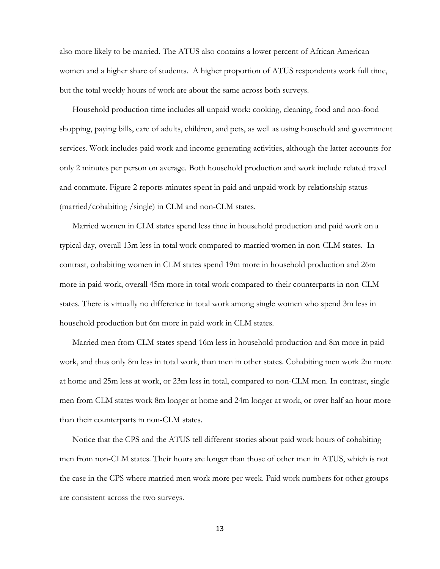also more likely to be married. The ATUS also contains a lower percent of African American women and a higher share of students. A higher proportion of ATUS respondents work full time, but the total weekly hours of work are about the same across both surveys.

Household production time includes all unpaid work: cooking, cleaning, food and non-food shopping, paying bills, care of adults, children, and pets, as well as using household and government services. Work includes paid work and income generating activities, although the latter accounts for only 2 minutes per person on average. Both household production and work include related travel and commute. Figure 2 reports minutes spent in paid and unpaid work by relationship status (married/cohabiting /single) in CLM and non-CLM states.

Married women in CLM states spend less time in household production and paid work on a typical day, overall 13m less in total work compared to married women in non-CLM states. In contrast, cohabiting women in CLM states spend 19m more in household production and 26m more in paid work, overall 45m more in total work compared to their counterparts in non-CLM states. There is virtually no difference in total work among single women who spend 3m less in household production but 6m more in paid work in CLM states.

Married men from CLM states spend 16m less in household production and 8m more in paid work, and thus only 8m less in total work, than men in other states. Cohabiting men work 2m more at home and 25m less at work, or 23m less in total, compared to non-CLM men. In contrast, single men from CLM states work 8m longer at home and 24m longer at work, or over half an hour more than their counterparts in non-CLM states.

Notice that the CPS and the ATUS tell different stories about paid work hours of cohabiting men from non-CLM states. Their hours are longer than those of other men in ATUS, which is not the case in the CPS where married men work more per week. Paid work numbers for other groups are consistent across the two surveys.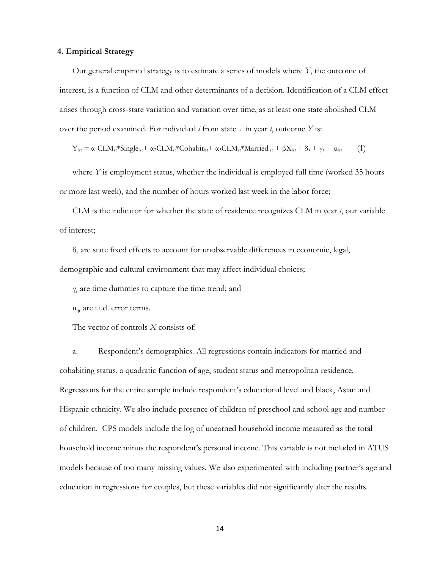#### **4. Empirical Strategy**

Our general empirical strategy is to estimate a series of models where *Y*, the outcome of interest, is a function of CLM and other determinants of a decision. Identification of a CLM effect arises through cross-state variation and variation over time, as at least one state abolished CLM over the period examined. For individual *i* from state *s* in year *t*, outcome *Y* is:

$$
Y_{ist} = \alpha_1 CLM_{st} * Single_{ist} + \alpha_2 CLM_{st} * Cohabit_{ist} + \alpha_3 CLM_{st} * Married_{ist} + \beta X_{ist} + \delta_s + \gamma_t + u_{ist}
$$
 (1)

where *Y* is employment status, whether the individual is employed full time (worked 35 hours or more last week), and the number of hours worked last week in the labor force;

CLM is the indicator for whether the state of residence recognizes CLM in year *t*, our variable of interest;

δ<sub>s</sub> are state fixed effects to account for unobservable differences in economic, legal, demographic and cultural environment that may affect individual choices;

 $\gamma_t$  are time dummies to capture the time trend; and

u<sub>it</sub> are i.i.d. error terms.

The vector of controls *X* consists of:

a. Respondent's demographics. All regressions contain indicators for married and cohabiting status, a quadratic function of age, student status and metropolitan residence. Regressions for the entire sample include respondent's educational level and black, Asian and Hispanic ethnicity. We also include presence of children of preschool and school age and number of children. CPS models include the log of unearned household income measured as the total household income minus the respondent's personal income. This variable is not included in ATUS models because of too many missing values. We also experimented with including partner's age and education in regressions for couples, but these variables did not significantly alter the results.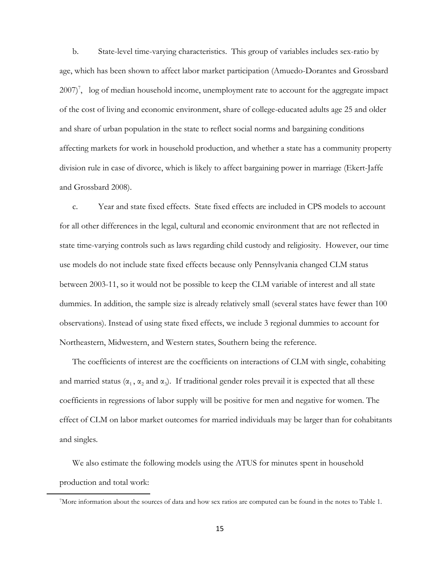b. State-level time-varying characteristics. This group of variables includes sex-ratio by age, which has been shown to affect labor market participation (Amuedo-Dorantes and Grossbard 2007)<sup>7</sup>, log of median household income, unemployment rate to account for the aggregate impact of the cost of living and economic environment, share of college-educated adults age 25 and older and share of urban population in the state to reflect social norms and bargaining conditions affecting markets for work in household production, and whether a state has a community property division rule in case of divorce, which is likely to affect bargaining power in marriage (Ekert-Jaffe and Grossbard 2008).

c. Year and state fixed effects. State fixed effects are included in CPS models to account for all other differences in the legal, cultural and economic environment that are not reflected in state time-varying controls such as laws regarding child custody and religiosity. However, our time use models do not include state fixed effects because only Pennsylvania changed CLM status between 2003-11, so it would not be possible to keep the CLM variable of interest and all state dummies. In addition, the sample size is already relatively small (several states have fewer than 100 observations). Instead of using state fixed effects, we include 3 regional dummies to account for Northeastern, Midwestern, and Western states, Southern being the reference.

The coefficients of interest are the coefficients on interactions of CLM with single, cohabiting and married status ( $\alpha_1$ ,  $\alpha_2$  and  $\alpha_3$ ). If traditional gender roles prevail it is expected that all these coefficients in regressions of labor supply will be positive for men and negative for women. The effect of CLM on labor market outcomes for married individuals may be larger than for cohabitants and singles.

We also estimate the following models using the ATUS for minutes spent in household production and total work:

 $\overline{a}$ 

<sup>7</sup>More information about the sources of data and how sex ratios are computed can be found in the notes to Table 1.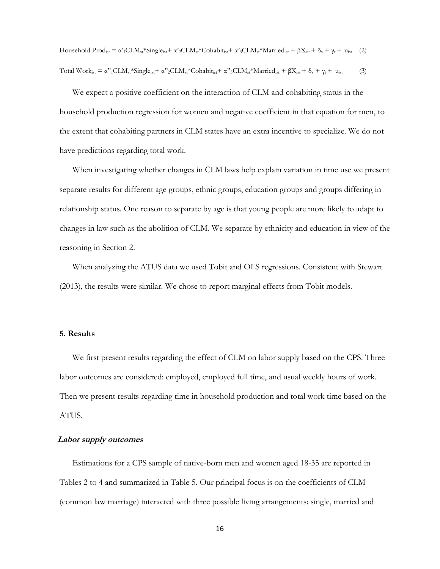Household Prod<sub>ist</sub> =  $\alpha'_{1}CLM_{st}$ \*Single<sub>ist</sub> +  $\alpha'_{2}CLM_{st}$ \*Cohabit<sub>ist</sub> +  $\alpha'_{3}CLM_{st}$ \*Married<sub>ist</sub> +  $\beta X_{ist}$  +  $\delta_{s}$  +  $\gamma_{t}$  + u<sub>ist</sub> (2) Total Work<sub>ist</sub> =  $\alpha$ "<sub>1</sub>CLM<sub>st</sub>\*Single<sub>ist</sub>+  $\alpha$ "<sub>2</sub>CLM<sub>st</sub>\*Cohabit<sub>ist</sub>+  $\alpha$ "<sub>3</sub>CLM<sub>st</sub>\*Married<sub>ist</sub> +  $\beta$ X<sub>ist</sub> +  $\delta_s$  +  $\gamma_t$  + u<sub>ist</sub> (3)

We expect a positive coefficient on the interaction of CLM and cohabiting status in the household production regression for women and negative coefficient in that equation for men, to the extent that cohabiting partners in CLM states have an extra incentive to specialize. We do not have predictions regarding total work.

When investigating whether changes in CLM laws help explain variation in time use we present separate results for different age groups, ethnic groups, education groups and groups differing in relationship status. One reason to separate by age is that young people are more likely to adapt to changes in law such as the abolition of CLM. We separate by ethnicity and education in view of the reasoning in Section 2.

When analyzing the ATUS data we used Tobit and OLS regressions. Consistent with Stewart (2013), the results were similar. We chose to report marginal effects from Tobit models.

#### **5. Results**

We first present results regarding the effect of CLM on labor supply based on the CPS. Three labor outcomes are considered: employed, employed full time, and usual weekly hours of work. Then we present results regarding time in household production and total work time based on the ATUS.

#### **Labor supply outcomes**

Estimations for a CPS sample of native-born men and women aged 18-35 are reported in Tables 2 to 4 and summarized in Table 5. Our principal focus is on the coefficients of CLM (common law marriage) interacted with three possible living arrangements: single, married and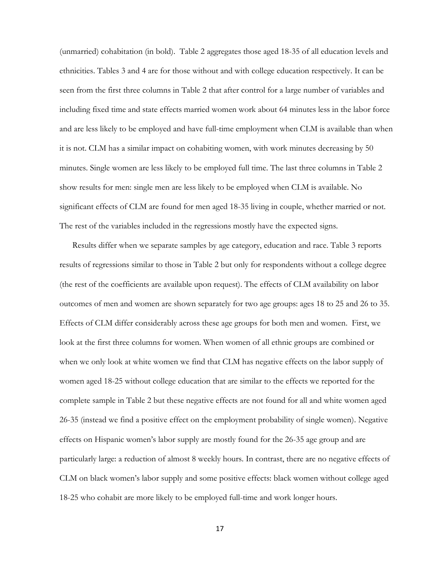(unmarried) cohabitation (in bold). Table 2 aggregates those aged 18-35 of all education levels and ethnicities. Tables 3 and 4 are for those without and with college education respectively. It can be seen from the first three columns in Table 2 that after control for a large number of variables and including fixed time and state effects married women work about 64 minutes less in the labor force and are less likely to be employed and have full-time employment when CLM is available than when it is not. CLM has a similar impact on cohabiting women, with work minutes decreasing by 50 minutes. Single women are less likely to be employed full time. The last three columns in Table 2 show results for men: single men are less likely to be employed when CLM is available. No significant effects of CLM are found for men aged 18-35 living in couple, whether married or not. The rest of the variables included in the regressions mostly have the expected signs.

Results differ when we separate samples by age category, education and race. Table 3 reports results of regressions similar to those in Table 2 but only for respondents without a college degree (the rest of the coefficients are available upon request). The effects of CLM availability on labor outcomes of men and women are shown separately for two age groups: ages 18 to 25 and 26 to 35. Effects of CLM differ considerably across these age groups for both men and women. First, we look at the first three columns for women. When women of all ethnic groups are combined or when we only look at white women we find that CLM has negative effects on the labor supply of women aged 18-25 without college education that are similar to the effects we reported for the complete sample in Table 2 but these negative effects are not found for all and white women aged 26-35 (instead we find a positive effect on the employment probability of single women). Negative effects on Hispanic women's labor supply are mostly found for the 26-35 age group and are particularly large: a reduction of almost 8 weekly hours. In contrast, there are no negative effects of CLM on black women's labor supply and some positive effects: black women without college aged 18-25 who cohabit are more likely to be employed full-time and work longer hours.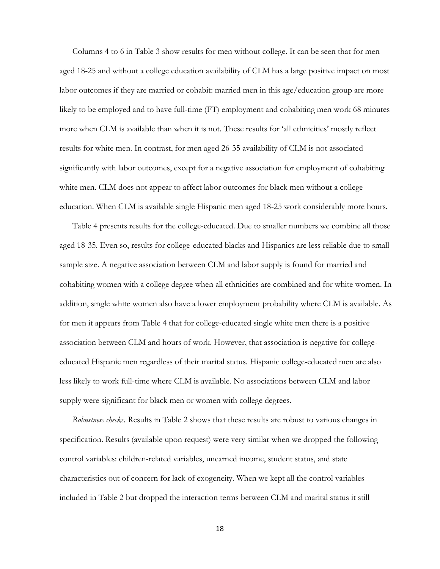Columns 4 to 6 in Table 3 show results for men without college. It can be seen that for men aged 18-25 and without a college education availability of CLM has a large positive impact on most labor outcomes if they are married or cohabit: married men in this age/education group are more likely to be employed and to have full-time (FT) employment and cohabiting men work 68 minutes more when CLM is available than when it is not. These results for 'all ethnicities' mostly reflect results for white men. In contrast, for men aged 26-35 availability of CLM is not associated significantly with labor outcomes, except for a negative association for employment of cohabiting white men. CLM does not appear to affect labor outcomes for black men without a college education. When CLM is available single Hispanic men aged 18-25 work considerably more hours.

Table 4 presents results for the college-educated. Due to smaller numbers we combine all those aged 18-35. Even so, results for college-educated blacks and Hispanics are less reliable due to small sample size. A negative association between CLM and labor supply is found for married and cohabiting women with a college degree when all ethnicities are combined and for white women. In addition, single white women also have a lower employment probability where CLM is available. As for men it appears from Table 4 that for college-educated single white men there is a positive association between CLM and hours of work. However, that association is negative for collegeeducated Hispanic men regardless of their marital status. Hispanic college-educated men are also less likely to work full-time where CLM is available. No associations between CLM and labor supply were significant for black men or women with college degrees.

*Robustness checks.* Results in Table 2 shows that these results are robust to various changes in specification. Results (available upon request) were very similar when we dropped the following control variables: children-related variables, unearned income, student status, and state characteristics out of concern for lack of exogeneity. When we kept all the control variables included in Table 2 but dropped the interaction terms between CLM and marital status it still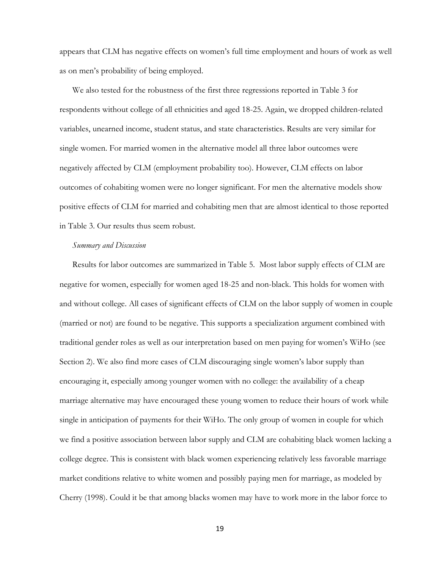appears that CLM has negative effects on women's full time employment and hours of work as well as on men's probability of being employed.

We also tested for the robustness of the first three regressions reported in Table 3 for respondents without college of all ethnicities and aged 18-25. Again, we dropped children-related variables, unearned income, student status, and state characteristics. Results are very similar for single women. For married women in the alternative model all three labor outcomes were negatively affected by CLM (employment probability too). However, CLM effects on labor outcomes of cohabiting women were no longer significant. For men the alternative models show positive effects of CLM for married and cohabiting men that are almost identical to those reported in Table 3. Our results thus seem robust.

#### *Summary and Discussion*

Results for labor outcomes are summarized in Table 5. Most labor supply effects of CLM are negative for women, especially for women aged 18-25 and non-black. This holds for women with and without college. All cases of significant effects of CLM on the labor supply of women in couple (married or not) are found to be negative. This supports a specialization argument combined with traditional gender roles as well as our interpretation based on men paying for women's WiHo (see Section 2). We also find more cases of CLM discouraging single women's labor supply than encouraging it, especially among younger women with no college: the availability of a cheap marriage alternative may have encouraged these young women to reduce their hours of work while single in anticipation of payments for their WiHo. The only group of women in couple for which we find a positive association between labor supply and CLM are cohabiting black women lacking a college degree. This is consistent with black women experiencing relatively less favorable marriage market conditions relative to white women and possibly paying men for marriage, as modeled by Cherry (1998). Could it be that among blacks women may have to work more in the labor force to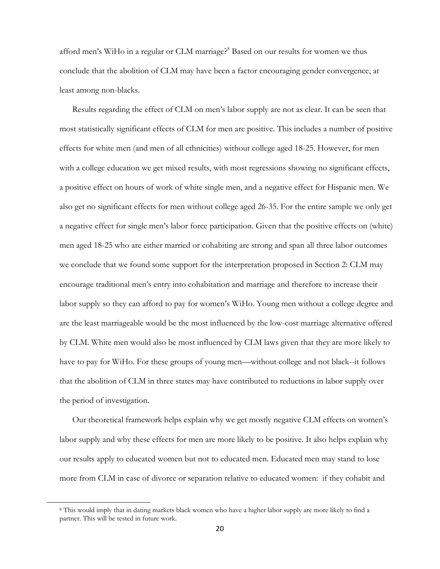afford men's WiHo in a regular or CLM marriage?<sup>8</sup> Based on our results for women we thus conclude that the abolition of CLM may have been a factor encouraging gender convergence, at least among non-blacks.

Results regarding the effect of CLM on men's labor supply are not as clear. It can be seen that most statistically significant effects of CLM for men are positive. This includes a number of positive effects for white men (and men of all ethnicities) without college aged 18-25. However, for men with a college education we get mixed results, with most regressions showing no significant effects, a positive effect on hours of work of white single men, and a negative effect for Hispanic men. We also get no significant effects for men without college aged 26-35. For the entire sample we only get a negative effect for single men's labor force participation. Given that the positive effects on (white) men aged 18-25 who are either married or cohabiting are strong and span all three labor outcomes we conclude that we found some support for the interpretation proposed in Section 2: CLM may encourage traditional men's entry into cohabitation and marriage and therefore to increase their labor supply so they can afford to pay for women's WiHo. Young men without a college degree and are the least marriageable would be the most influenced by the low-cost marriage alternative offered by CLM. White men would also be most influenced by CLM laws given that they are more likely to have to pay for WiHo. For these groups of young men—without college and not black--it follows that the abolition of CLM in three states may have contributed to reductions in labor supply over the period of investigation.

Our theoretical framework helps explain why we get mostly negative CLM effects on women's labor supply and why these effects for men are more likely to be positive. It also helps explain why our results apply to educated women but not to educated men. Educated men may stand to lose more from CLM in case of divorce or separation relative to educated women: if they cohabit and

 $\overline{a}$ 

<sup>8</sup> This would imply that in dating markets black women who have a higher labor supply are more likely to find a partner. This will be tested in future work.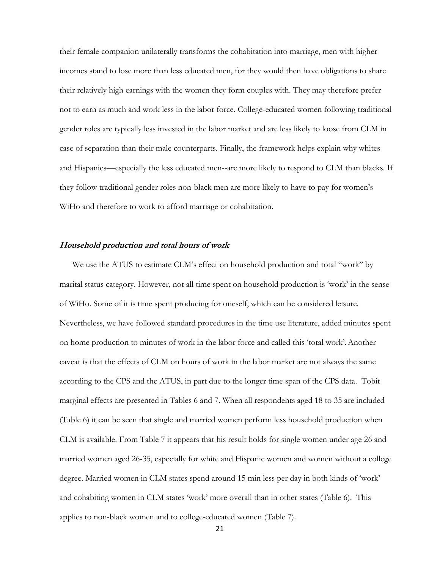their female companion unilaterally transforms the cohabitation into marriage, men with higher incomes stand to lose more than less educated men, for they would then have obligations to share their relatively high earnings with the women they form couples with. They may therefore prefer not to earn as much and work less in the labor force. College-educated women following traditional gender roles are typically less invested in the labor market and are less likely to loose from CLM in case of separation than their male counterparts. Finally, the framework helps explain why whites and Hispanics—especially the less educated men--are more likely to respond to CLM than blacks. If they follow traditional gender roles non-black men are more likely to have to pay for women's WiHo and therefore to work to afford marriage or cohabitation.

#### **Household production and total hours of work**

We use the ATUS to estimate CLM's effect on household production and total "work" by marital status category. However, not all time spent on household production is 'work' in the sense of WiHo. Some of it is time spent producing for oneself, which can be considered leisure. Nevertheless, we have followed standard procedures in the time use literature, added minutes spent on home production to minutes of work in the labor force and called this 'total work'.Another caveat is that the effects of CLM on hours of work in the labor market are not always the same according to the CPS and the ATUS, in part due to the longer time span of the CPS data. Tobit marginal effects are presented in Tables 6 and 7. When all respondents aged 18 to 35 are included (Table 6) it can be seen that single and married women perform less household production when CLM is available. From Table 7 it appears that his result holds for single women under age 26 and married women aged 26-35, especially for white and Hispanic women and women without a college degree. Married women in CLM states spend around 15 min less per day in both kinds of 'work' and cohabiting women in CLM states 'work' more overall than in other states (Table 6). This applies to non-black women and to college-educated women (Table 7).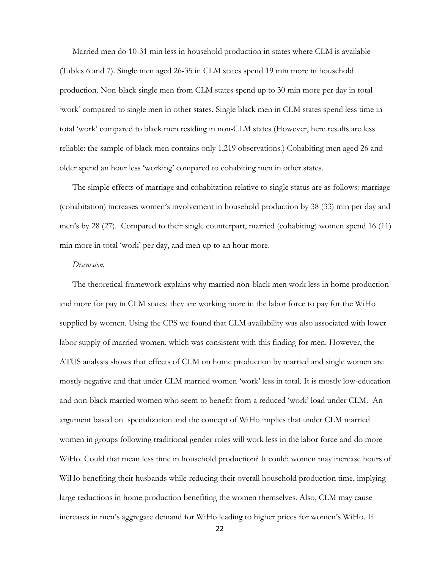Married men do 10-31 min less in household production in states where CLM is available (Tables 6 and 7). Single men aged 26-35 in CLM states spend 19 min more in household production. Non-black single men from CLM states spend up to 30 min more per day in total 'work' compared to single men in other states. Single black men in CLM states spend less time in total 'work' compared to black men residing in non-CLM states (However, here results are less reliable: the sample of black men contains only 1,219 observations.) Cohabiting men aged 26 and older spend an hour less 'working' compared to cohabiting men in other states.

The simple effects of marriage and cohabitation relative to single status are as follows: marriage (cohabitation) increases women's involvement in household production by 38 (33) min per day and men's by 28 (27). Compared to their single counterpart, married (cohabiting) women spend 16 (11) min more in total 'work' per day, and men up to an hour more.

### *Discussion.*

The theoretical framework explains why married non-black men work less in home production and more for pay in CLM states: they are working more in the labor force to pay for the WiHo supplied by women. Using the CPS we found that CLM availability was also associated with lower labor supply of married women, which was consistent with this finding for men. However, the ATUS analysis shows that effects of CLM on home production by married and single women are mostly negative and that under CLM married women 'work' less in total. It is mostly low-education and non-black married women who seem to benefit from a reduced 'work' load under CLM. An argument based on specialization and the concept of WiHo implies that under CLM married women in groups following traditional gender roles will work less in the labor force and do more WiHo. Could that mean less time in household production? It could: women may increase hours of WiHo benefiting their husbands while reducing their overall household production time, implying large reductions in home production benefiting the women themselves. Also, CLM may cause increases in men's aggregate demand for WiHo leading to higher prices for women's WiHo. If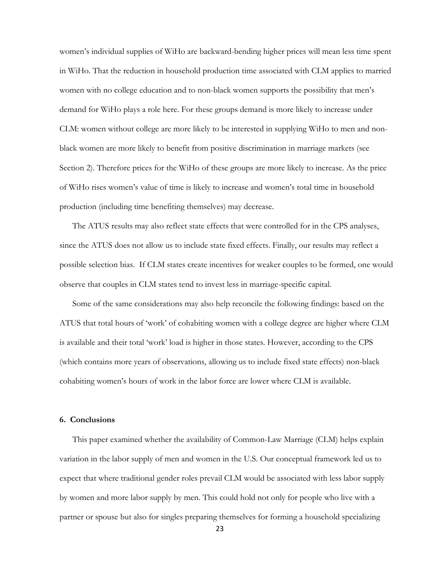women's individual supplies of WiHo are backward-bending higher prices will mean less time spent in WiHo. That the reduction in household production time associated with CLM applies to married women with no college education and to non-black women supports the possibility that men's demand for WiHo plays a role here. For these groups demand is more likely to increase under CLM: women without college are more likely to be interested in supplying WiHo to men and nonblack women are more likely to benefit from positive discrimination in marriage markets (see Section 2). Therefore prices for the WiHo of these groups are more likely to increase. As the price of WiHo rises women's value of time is likely to increase and women's total time in household production (including time benefiting themselves) may decrease.

The ATUS results may also reflect state effects that were controlled for in the CPS analyses, since the ATUS does not allow us to include state fixed effects. Finally, our results may reflect a possible selection bias. If CLM states create incentives for weaker couples to be formed, one would observe that couples in CLM states tend to invest less in marriage-specific capital.

Some of the same considerations may also help reconcile the following findings: based on the ATUS that total hours of 'work' of cohabiting women with a college degree are higher where CLM is available and their total 'work' load is higher in those states. However, according to the CPS (which contains more years of observations, allowing us to include fixed state effects) non-black cohabiting women's hours of work in the labor force are lower where CLM is available.

#### **6. Conclusions**

This paper examined whether the availability of Common-Law Marriage (CLM) helps explain variation in the labor supply of men and women in the U.S. Our conceptual framework led us to expect that where traditional gender roles prevail CLM would be associated with less labor supply by women and more labor supply by men. This could hold not only for people who live with a partner or spouse but also for singles preparing themselves for forming a household specializing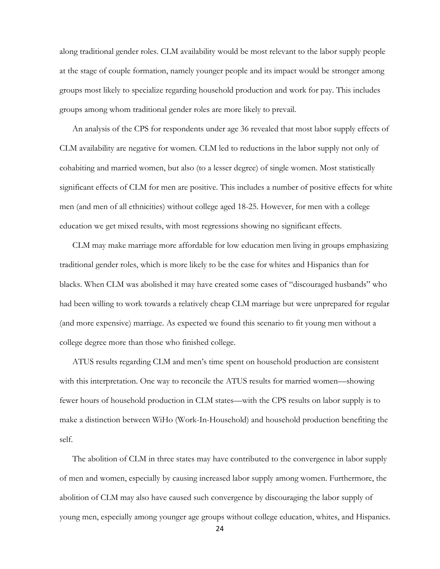along traditional gender roles. CLM availability would be most relevant to the labor supply people at the stage of couple formation, namely younger people and its impact would be stronger among groups most likely to specialize regarding household production and work for pay. This includes groups among whom traditional gender roles are more likely to prevail.

An analysis of the CPS for respondents under age 36 revealed that most labor supply effects of CLM availability are negative for women. CLM led to reductions in the labor supply not only of cohabiting and married women, but also (to a lesser degree) of single women. Most statistically significant effects of CLM for men are positive. This includes a number of positive effects for white men (and men of all ethnicities) without college aged 18-25. However, for men with a college education we get mixed results, with most regressions showing no significant effects.

CLM may make marriage more affordable for low education men living in groups emphasizing traditional gender roles, which is more likely to be the case for whites and Hispanics than for blacks. When CLM was abolished it may have created some cases of "discouraged husbands" who had been willing to work towards a relatively cheap CLM marriage but were unprepared for regular (and more expensive) marriage. As expected we found this scenario to fit young men without a college degree more than those who finished college.

ATUS results regarding CLM and men's time spent on household production are consistent with this interpretation. One way to reconcile the ATUS results for married women—showing fewer hours of household production in CLM states—with the CPS results on labor supply is to make a distinction between WiHo (Work-In-Household) and household production benefiting the self.

The abolition of CLM in three states may have contributed to the convergence in labor supply of men and women, especially by causing increased labor supply among women. Furthermore, the abolition of CLM may also have caused such convergence by discouraging the labor supply of young men, especially among younger age groups without college education, whites, and Hispanics.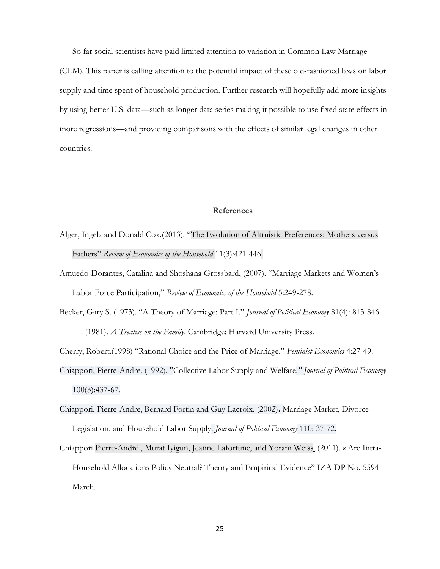So far social scientists have paid limited attention to variation in Common Law Marriage

(CLM). This paper is calling attention to the potential impact of these old-fashioned laws on labor supply and time spent of household production. Further research will hopefully add more insights by using better U.S. data—such as longer data series making it possible to use fixed state effects in more regressions—and providing comparisons with the effects of similar legal changes in other countries.

#### **References**

- Alger, Ingela and Donald Cox.(2013). "The Evolution of Altruistic Preferences: Mothers versus Fathers" *Review of Economics of the Household* 11(3):421-446.
- Amuedo-Dorantes, Catalina and [Shoshana Grossbard,](http://www.springerlink.com/content/?Author=Shoshana+Grossbard) (2007). "Marriage Markets and Women's Labor Force Participation," *Review of Economics of the Household* 5:249-278.
- Becker, Gary S. (1973). "A Theory of Marriage: Part I." *Journal of Political Economy* 81(4): 813-846. \_\_\_\_\_. (1981). *A Treatise on the Family*. Cambridge: Harvard University Press.
- Cherry, Robert.(1998) "Rational Choice and the Price of Marriage." *Feminist Economics* 4:27-49.
- Chiappori, Pierre-Andre. (1992). ["Collective Labor Supply and Welfare](http://ideas.repec.org/a/ucp/jpolec/v100y1992i3p437-67.html)*." [Journal of Political Economy](http://ideas.repec.org/s/ucp/jpolec.html)* 100(3):437-67.
- Chiappori, Pierre-Andre, Bernard Fortin and Guy Lacroix. (2002)**.** [Marriage Market, Divorce](http://ideas.repec.org/a/ucp/jpolec/v110y2002i1p37-72.html)  [Legislation, and Household Labor Supply.](http://ideas.repec.org/a/ucp/jpolec/v110y2002i1p37-72.html) *[Journal of Political Economy](http://ideas.repec.org/s/ucp/jpolec.html)* 110: 37-72.
- Chiappori [Pierre-André ,](http://www.columbia.edu/~pc2167/) [Murat Iyigun,](http://www.iza.org/en/webcontent/personnel/photos/index_html?key=2425) [Jeanne Lafortune,](http://www.econ.umd.edu/faculty/profiles/lafortune) and [Yoram Weiss.](http://www.iza.org/iza/en/webcontent/personnel/photos/index_html?key=933) (2011). « Are Intra-Household Allocations Policy Neutral? Theory and Empirical Evidence" IZA DP No. 5594 March.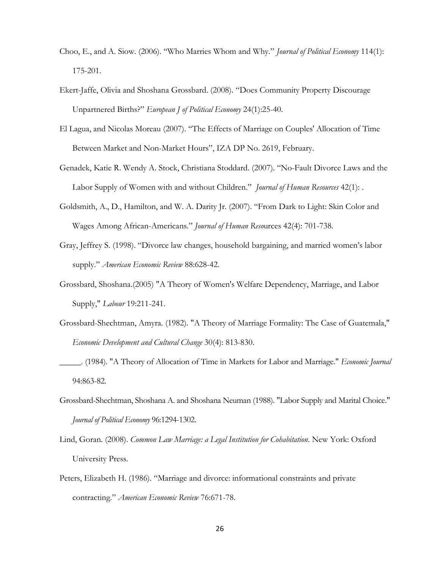- Choo, E., and A. Siow. (2006). "Who Marries Whom and Why." *Journal of Political Economy* 114(1): 175-201.
- Ekert-Jaffe, Olivia and Shoshana Grossbard. (2008). "Does Community Property Discourage Unpartnered Births?" *European J of Political Economy* 24(1):25-40.
- El Lagua, and Nicolas Moreau (2007). "The Effects of Marriage on Couples' Allocation of Time Between Market and Non-Market Hours", IZA DP No. 2619, February.
- Genadek, Katie R. Wendy A. Stock, Christiana Stoddard. (2007). "No-Fault Divorce Laws and the Labor Supply of Women with and without Children." *Journal of Human Resources* 42(1): .
- Goldsmith, A., D., Hamilton, and W. A. Darity Jr. (2007). "From Dark to Light: Skin Color and Wages Among African-Americans." *Journal of Human Reso*urces 42(4): 701-738.
- Gray, Jeffrey S. (1998). "Divorce law changes, household bargaining, and married women's labor supply." *American Economic Review* 88:628-42.
- Grossbard, Shoshana.(2005) ["A Theory of Women's Welfare Dependency, Marriage, and Labor](http://www-rohan.sdsu.edu/faculty/sgs/documents/Welfarenov2004.pdf)  [Supply,](http://www-rohan.sdsu.edu/faculty/sgs/documents/Welfarenov2004.pdf)" *Labour* 19:211-241.
- Grossbard-Shechtman, Amyra. (1982). "A Theory of Marriage Formality: The Case of Guatemala," *Economic Development and Cultural Change* 30(4): 813-830.
- \_\_\_\_\_. (1984). "A Theory of Allocation of Time in Markets for Labor and Marriage." *Economic Journal* 94:863-82.
- Grossbard-Shechtman, Shoshana A. and Shoshana Neuman (1988). "Labor Supply and Marital Choice." *Journal of Political Economy* 96:1294-1302.
- Lind, Goran. (2008). *Common Law Marriage: a Legal Institution for Cohabitation*. New York: Oxford University Press.
- Peters, Elizabeth H. (1986). "Marriage and divorce: informational constraints and private contracting." *American Economic Review* 76:671-78.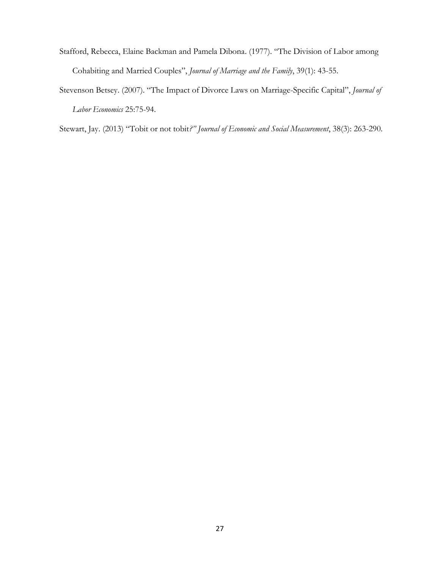- Stafford, Rebecca, Elaine Backman and Pamela Dibona. (1977). "The Division of Labor among Cohabiting and Married Couples", *Journal of Marriage and the Family*, 39(1): 43-55.
- Stevenson Betsey. (2007). "The Impact of Divorce Laws on Marriage-Specific Capital", *Journal of Labor Economics* 25:75-94.

Stewart, Jay. (2013) "Tobit or not tobit*?" Journal of Economic and Social Measurement*, 38(3): 263-290.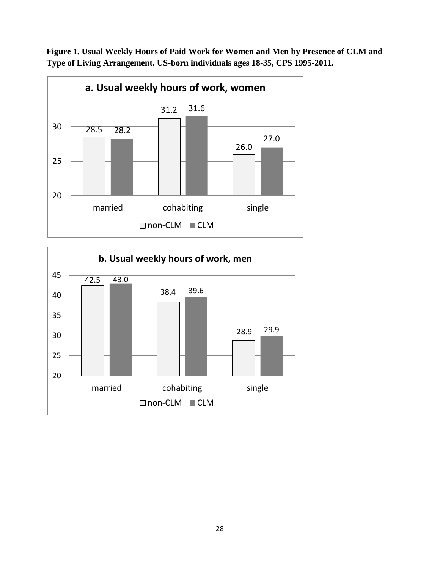

**Figure 1. Usual Weekly Hours of Paid Work for Women and Men by Presence of CLM and Type of Living Arrangement. US-born individuals ages 18-35, CPS 1995-2011.**

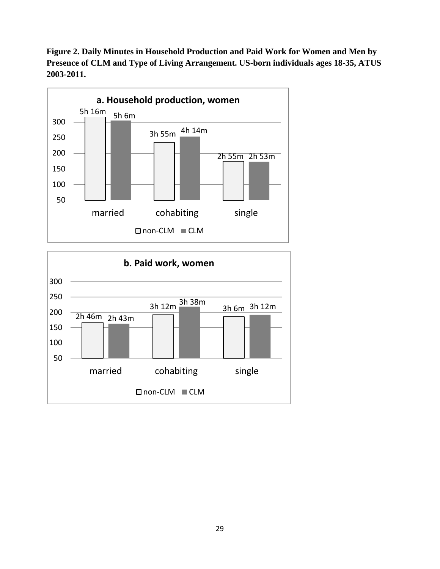**Figure 2. Daily Minutes in Household Production and Paid Work for Women and Men by Presence of CLM and Type of Living Arrangement. US-born individuals ages 18-35, ATUS 2003-2011.**



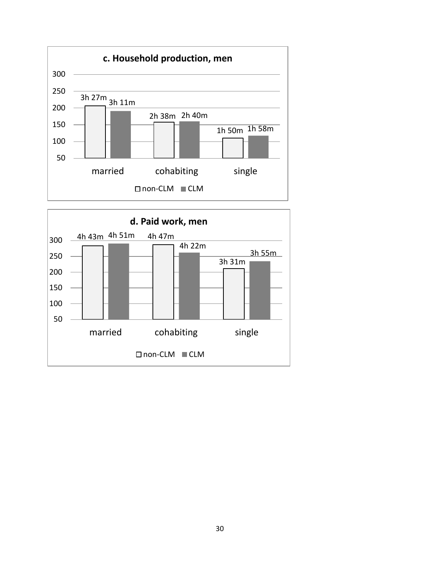

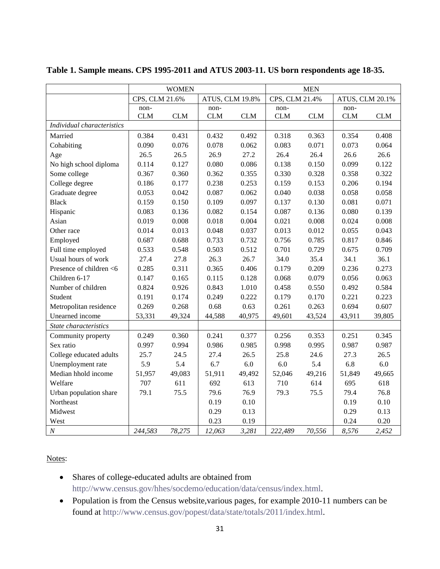|                            | <b>WOMEN</b>   |            |                 | <b>MEN</b> |                |            |                 |            |
|----------------------------|----------------|------------|-----------------|------------|----------------|------------|-----------------|------------|
|                            | CPS, CLM 21.6% |            | ATUS, CLM 19.8% |            | CPS, CLM 21.4% |            | ATUS, CLM 20.1% |            |
|                            | non-           |            | non-            |            | non-           |            | non-            |            |
|                            | <b>CLM</b>     | <b>CLM</b> | <b>CLM</b>      | <b>CLM</b> | <b>CLM</b>     | <b>CLM</b> | <b>CLM</b>      | <b>CLM</b> |
| Individual characteristics |                |            |                 |            |                |            |                 |            |
| Married                    | 0.384          | 0.431      | 0.432           | 0.492      | 0.318          | 0.363      | 0.354           | 0.408      |
| Cohabiting                 | 0.090          | 0.076      | 0.078           | 0.062      | 0.083          | 0.071      | 0.073           | 0.064      |
| Age                        | 26.5           | 26.5       | 26.9            | 27.2       | 26.4           | 26.4       | 26.6            | 26.6       |
| No high school diploma     | 0.114          | 0.127      | 0.080           | 0.086      | 0.138          | 0.150      | 0.099           | 0.122      |
| Some college               | 0.367          | 0.360      | 0.362           | 0.355      | 0.330          | 0.328      | 0.358           | 0.322      |
| College degree             | 0.186          | 0.177      | 0.238           | 0.253      | 0.159          | 0.153      | 0.206           | 0.194      |
| Graduate degree            | 0.053          | 0.042      | 0.087           | 0.062      | 0.040          | 0.038      | 0.058           | 0.058      |
| <b>Black</b>               | 0.159          | 0.150      | 0.109           | 0.097      | 0.137          | 0.130      | 0.081           | 0.071      |
| Hispanic                   | 0.083          | 0.136      | 0.082           | 0.154      | 0.087          | 0.136      | 0.080           | 0.139      |
| Asian                      | 0.019          | 0.008      | 0.018           | 0.004      | 0.021          | 0.008      | 0.024           | 0.008      |
| Other race                 | 0.014          | 0.013      | 0.048           | 0.037      | 0.013          | 0.012      | 0.055           | 0.043      |
| Employed                   | 0.687          | 0.688      | 0.733           | 0.732      | 0.756          | 0.785      | 0.817           | 0.846      |
| Full time employed         | 0.533          | 0.548      | 0.503           | 0.512      | 0.701          | 0.729      | 0.675           | 0.709      |
| Usual hours of work        | 27.4           | 27.8       | 26.3            | 26.7       | 34.0           | 35.4       | 34.1            | 36.1       |
| Presence of children <6    | 0.285          | 0.311      | 0.365           | 0.406      | 0.179          | 0.209      | 0.236           | 0.273      |
| Children 6-17              | 0.147          | 0.165      | 0.115           | 0.128      | 0.068          | 0.079      | 0.056           | 0.063      |
| Number of children         | 0.824          | 0.926      | 0.843           | 1.010      | 0.458          | 0.550      | 0.492           | 0.584      |
| Student                    | 0.191          | 0.174      | 0.249           | 0.222      | 0.179          | 0.170      | 0.221           | 0.223      |
| Metropolitan residence     | 0.269          | 0.268      | 0.68            | 0.63       | 0.261          | 0.263      | 0.694           | 0.607      |
| Unearned income            | 53,331         | 49,324     | 44,588          | 40,975     | 49,601         | 43,524     | 43,911          | 39,805     |
| State characteristics      |                |            |                 |            |                |            |                 |            |
| Community property         | 0.249          | 0.360      | 0.241           | 0.377      | 0.256          | 0.353      | 0.251           | 0.345      |
| Sex ratio                  | 0.997          | 0.994      | 0.986           | 0.985      | 0.998          | 0.995      | 0.987           | 0.987      |
| College educated adults    | 25.7           | 24.5       | 27.4            | 26.5       | 25.8           | 24.6       | 27.3            | 26.5       |
| Unemployment rate          | 5.9            | 5.4        | 6.7             | 6.0        | 6.0            | 5.4        | 6.8             | 6.0        |
| Median hhold income        | 51,957         | 49,083     | 51,911          | 49,492     | 52,046         | 49,216     | 51,849          | 49,665     |
| Welfare                    | 707            | 611        | 692             | 613        | 710            | 614        | 695             | 618        |
| Urban population share     | 79.1           | 75.5       | 79.6            | 76.9       | 79.3           | 75.5       | 79.4            | 76.8       |
| Northeast                  |                |            | 0.19            | 0.10       |                |            | 0.19            | 0.10       |
| Midwest                    |                |            | 0.29            | 0.13       |                |            | 0.29            | 0.13       |
| West                       |                |            | 0.23            | 0.19       |                |            | 0.24            | 0.20       |
| $\cal N$                   | 244,583        | 78,275     | 12,063          | 3,281      | 222,489        | 70,556     | 8,576           | 2,452      |

# **Table 1. Sample means. CPS 1995-2011 and ATUS 2003-11. US born respondents age 18-35.**

Notes:

- Shares of college-educated adults are obtained from [http://www.census.gov/hhes/socdemo/education/data/census/index.html.](http://www.census.gov/hhes/socdemo/education/data/census/index.html)
- Population is from the Census website, various pages, for example 2010-11 numbers can be found at [http://www.census.gov/popest/data/state/totals/2011/index.html.](http://www.census.gov/popest/data/state/totals/2011/index.html)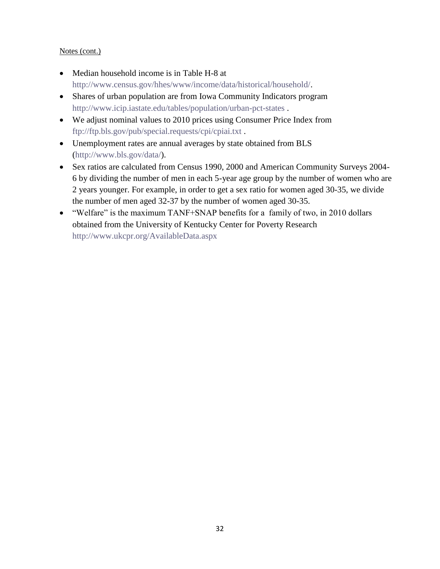# Notes (cont.)

- Median household income is in Table H-8 at [http://www.census.gov/hhes/www/income/data/historical/household/.](http://www.census.gov/hhes/www/income/data/historical/household/)
- Shares of urban population are from Iowa Community Indicators program <http://www.icip.iastate.edu/tables/population/urban-pct-states> .
- We adjust nominal values to 2010 prices using Consumer Price Index from <ftp://ftp.bls.gov/pub/special.requests/cpi/cpiai.txt> .
- Unemployment rates are annual averages by state obtained from BLS [\(http://www.bls.gov/data/\)](http://www.bls.gov/data/).
- Sex ratios are calculated from Census 1990, 2000 and American Community Surveys 2004- 6 by dividing the number of men in each 5-year age group by the number of women who are 2 years younger. For example, in order to get a sex ratio for women aged 30-35, we divide the number of men aged 32-37 by the number of women aged 30-35.
- "Welfare" is the maximum TANF+SNAP benefits for a family of two, in 2010 dollars obtained from the University of Kentucky Center for Poverty Research <http://www.ukcpr.org/AvailableData.aspx>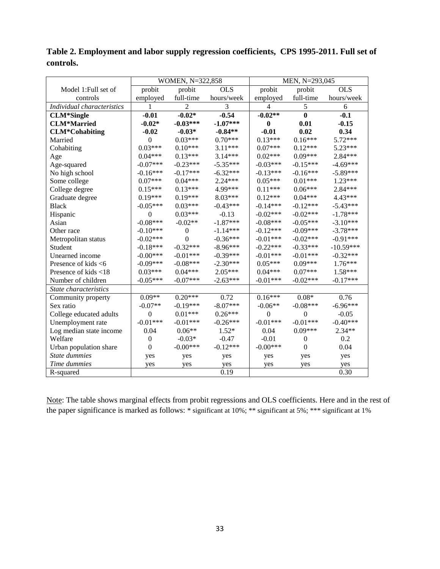|                            | WOMEN, N=322,858 |                  |            | MEN, N=293,045 |                  |             |  |
|----------------------------|------------------|------------------|------------|----------------|------------------|-------------|--|
| Model 1: Full set of       | probit           | probit           | <b>OLS</b> | probit         | probit           | <b>OLS</b>  |  |
| controls                   | employed         | full-time        | hours/week | employed       | full-time        | hours/week  |  |
| Individual characteristics | 1                | $\overline{2}$   | 3          | 4              | $\mathfrak s$    | 6           |  |
| <b>CLM*Single</b>          | $-0.01$          | $-0.02*$         | $-0.54$    | $-0.02**$      | $\bf{0}$         | $-0.1$      |  |
| <b>CLM*Married</b>         | $-0.02*$         | $-0.03***$       | $-1.07***$ | $\bf{0}$       | 0.01             | $-0.15$     |  |
| <b>CLM*Cohabiting</b>      | $-0.02$          | $-0.03*$         | $-0.84**$  | $-0.01$        | 0.02             | 0.34        |  |
| Married                    | $\theta$         | $0.03***$        | $0.70***$  | $0.13***$      | $0.16***$        | 5.72***     |  |
| Cohabiting                 | $0.03***$        | $0.10***$        | 3.11***    | $0.07***$      | $0.12***$        | $5.23***$   |  |
| Age                        | $0.04***$        | $0.13***$        | $3.14***$  | $0.02***$      | $0.09***$        | $2.84***$   |  |
| Age-squared                | $-0.07***$       | $-0.23***$       | $-5.35***$ | $-0.03***$     | $-0.15***$       | $-4.69***$  |  |
| No high school             | $-0.16***$       | $-0.17***$       | $-6.32***$ | $-0.13***$     | $-0.16***$       | $-5.89***$  |  |
| Some college               | $0.07***$        | $0.04***$        | $2.24***$  | $0.05***$      | $0.01***$        | $1.23***$   |  |
| College degree             | $0.15***$        | $0.13***$        | 4.99***    | $0.11***$      | $0.06***$        | 2.84***     |  |
| Graduate degree            | $0.19***$        | $0.19***$        | 8.03***    | $0.12***$      | $0.04***$        | 4.43***     |  |
| <b>Black</b>               | $-0.05***$       | $0.03***$        | $-0.43***$ | $-0.14***$     | $-0.12***$       | $-5.43***$  |  |
| Hispanic                   | $\theta$         | $0.03***$        | $-0.13$    | $-0.02***$     | $-0.02***$       | $-1.78***$  |  |
| Asian                      | $-0.08***$       | $-0.02**$        | $-1.87***$ | $-0.08***$     | $-0.05***$       | $-3.10***$  |  |
| Other race                 | $-0.10***$       | $\boldsymbol{0}$ | $-1.14***$ | $-0.12***$     | $-0.09***$       | $-3.78***$  |  |
| Metropolitan status        | $-0.02***$       | $\theta$         | $-0.36***$ | $-0.01***$     | $-0.02***$       | $-0.91***$  |  |
| Student                    | $-0.18***$       | $-0.32***$       | $-8.96***$ | $-0.22***$     | $-0.33***$       | $-10.59***$ |  |
| Unearned income            | $-0.00***$       | $-0.01***$       | $-0.39***$ | $-0.01***$     | $-0.01***$       | $-0.32***$  |  |
| Presence of kids $<6$      | $-0.09***$       | $-0.08***$       | $-2.30***$ | $0.05***$      | $0.09***$        | $1.76***$   |  |
| Presence of kids <18       | $0.03***$        | $0.04***$        | $2.05***$  | $0.04***$      | $0.07***$        | $1.58***$   |  |
| Number of children         | $-0.05***$       | $-0.07***$       | $-2.63***$ | $-0.01***$     | $-0.02***$       | $-0.17***$  |  |
| State characteristics      |                  |                  |            |                |                  |             |  |
| Community property         | $0.09**$         | $0.20***$        | 0.72       | $0.16***$      | $0.08*$          | 0.76        |  |
| Sex ratio                  | $-0.07**$        | $-0.19***$       | $-8.07***$ | $-0.06**$      | $-0.08***$       | $-6.96***$  |  |
| College educated adults    | $\mathbf{0}$     | $0.01***$        | $0.26***$  | $\overline{0}$ | $\overline{0}$   | $-0.05$     |  |
| Unemployment rate          | $-0.01***$       | $-0.01***$       | $-0.26***$ | $-0.01***$     | $-0.01***$       | $-0.40***$  |  |
| Log median state income    | 0.04             | $0.06**$         | $1.52*$    | 0.04           | $0.09***$        | $2.34**$    |  |
| Welfare                    | $\boldsymbol{0}$ | $-0.03*$         | $-0.47$    | $-0.01$        | $\boldsymbol{0}$ | 0.2         |  |
| Urban population share     | $\mathbf{0}$     | $-0.00***$       | $-0.12***$ | $-0.00***$     | $\theta$         | 0.04        |  |
| State dummies              | yes              | yes              | yes        | yes            | yes              | yes         |  |
| Time dummies               | yes              | yes              | yes        | yes            | yes              | yes         |  |
| R-squared                  |                  |                  | 0.19       |                |                  | 0.30        |  |

**Table 2. Employment and labor supply regression coefficients, CPS 1995-2011. Full set of controls.** 

Note: The table shows marginal effects from probit regressions and OLS coefficients. Here and in the rest of the paper significance is marked as follows: \* significant at 10%; \*\* significant at 5%; \*\*\* significant at 1%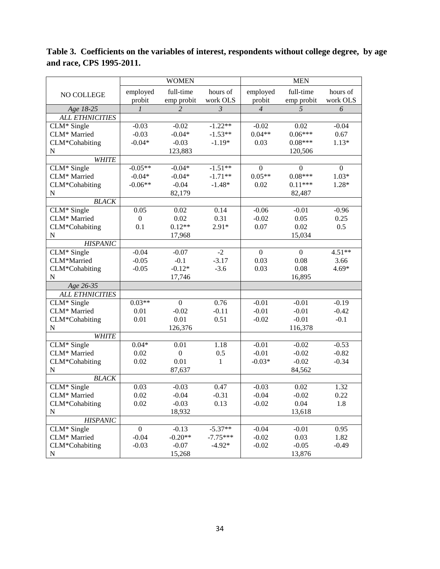|                               |                  | <b>WOMEN</b>     |                           |                  | <b>MEN</b>       |                  |
|-------------------------------|------------------|------------------|---------------------------|------------------|------------------|------------------|
|                               | employed         | full-time        | hours of                  | employed         | full-time        | hours of         |
| NO COLLEGE                    | probit           | emp probit       | work OLS                  | probit           | emp probit       | work OLS         |
| Age 18-25                     | $\mathfrak{1}$   | $\overline{2}$   | $\overline{\mathfrak{z}}$ | $\overline{4}$   | 5                | 6                |
| <b>ALL ETHNICITIES</b>        |                  |                  |                           |                  |                  |                  |
| CLM* Single                   | $-0.03$          | $-0.02$          | $-1.22**$                 | $-0.02$          | 0.02             | $-0.04$          |
| CLM* Married                  | $-0.03$          | $-0.04*$         | $-1.53**$                 | $0.04**$         | $0.06***$        | 0.67             |
| CLM*Cohabiting                | $-0.04*$         | $-0.03$          | $-1.19*$                  | 0.03             | $0.08***$        | $1.13*$          |
| ${\bf N}$                     |                  | 123,883          |                           |                  | 120,506          |                  |
| <b>WHITE</b>                  |                  |                  |                           |                  |                  |                  |
| CLM* Single                   | $-0.05**$        | $-0.04*$         | $-1.51**$                 | $\theta$         | $\boldsymbol{0}$ | $\boldsymbol{0}$ |
| CLM* Married                  | $-0.04*$         | $-0.04*$         | $-1.71**$                 | $0.05**$         | $0.08***$        | $1.03*$          |
| CLM*Cohabiting                | $-0.06**$        | $-0.04$          | $-1.48*$                  | 0.02             | $0.11***$        | 1.28*            |
| N                             |                  | 82,179           |                           |                  | 82,487           |                  |
| <b>BLACK</b>                  |                  |                  |                           |                  |                  |                  |
| CLM* Single                   | 0.05             | 0.02             | 0.14                      | $-0.06$          | $-0.01$          | $-0.96$          |
| CLM* Married                  | $\boldsymbol{0}$ | 0.02             | 0.31                      | $-0.02$          | 0.05             | 0.25             |
| CLM*Cohabiting                | 0.1              | $0.12**$         | $2.91*$                   | 0.07             | 0.02             | 0.5              |
| ${\bf N}$                     |                  | 17,968           |                           |                  | 15,034           |                  |
| <b>HISPANIC</b>               |                  |                  |                           |                  |                  |                  |
| CLM* Single                   | $-0.04$          | $-0.07$          | $-2$                      | $\boldsymbol{0}$ | $\overline{0}$   | $4.51**$         |
| CLM*Married                   | $-0.05$          | $-0.1$           | $-3.17$                   | 0.03             | 0.08             | 3.66             |
| CLM*Cohabiting                | $-0.05$          | $-0.12*$         | $-3.6$                    | 0.03             | 0.08             | $4.69*$          |
| ${\bf N}$                     |                  | 17,746           |                           |                  | 16,895           |                  |
| Age 26-35                     |                  |                  |                           |                  |                  |                  |
| <b>ALL ETHNICITIES</b>        |                  |                  |                           |                  |                  |                  |
| CLM* Single                   | $0.03**$         | $\mathbf{0}$     | 0.76                      | $-0.01$          | $-0.01$          | $-0.19$          |
| CLM* Married                  | 0.01             | $-0.02$          | $-0.11$                   | $-0.01$          | $-0.01$          | $-0.42$          |
| CLM*Cohabiting                | 0.01             | 0.01             | 0.51                      | $-0.02$          | $-0.01$          | $-0.1$           |
| ${\bf N}$                     |                  | 126,376          |                           |                  | 116,378          |                  |
| <b>WHITE</b><br>$CLM*$ Single | $0.04*$          | 0.01             |                           | $-0.01$          | $-0.02$          | $-0.53$          |
| CLM* Married                  | 0.02             | $\boldsymbol{0}$ | 1.18                      | $-0.01$          | $-0.02$          | $-0.82$          |
| CLM*Cohabiting                | 0.02             | 0.01             | 0.5<br>$\mathbf{1}$       |                  | $-0.02$          | $-0.34$          |
| N                             |                  | 87,637           |                           | $-0.03*$         | 84,562           |                  |
| <b>BLACK</b>                  |                  |                  |                           |                  |                  |                  |
| CLM* Single                   | 0.03             | $-0.03$          | 0.47                      | $-0.03$          | 0.02             | 1.32             |
| CLM* Married                  | 0.02             | $-0.04$          | $-0.31$                   | $-0.04$          | $-0.02$          | 0.22             |
| CLM*Cohabiting                | 0.02             | $-0.03$          | 0.13                      | $-0.02$          | 0.04             | 1.8              |
| ${\bf N}$                     |                  | 18,932           |                           |                  | 13,618           |                  |
| <b>HISPANIC</b>               |                  |                  |                           |                  |                  |                  |
| $CLM*$ Single                 | $\boldsymbol{0}$ | $-0.13$          | $-5.37**$                 | $-0.04$          | $-0.01$          | 0.95             |
| CLM* Married                  | $-0.04$          | $-0.20**$        | $-7.75***$                | $-0.02$          | 0.03             | 1.82             |
| CLM*Cohabiting                | $-0.03$          | $-0.07$          | $-4.92*$                  | $-0.02$          | $-0.05$          | $-0.49$          |
| ${\bf N}$                     |                  | 15,268           |                           |                  | 13,876           |                  |

**Table 3. Coefficients on the variables of interest, respondents without college degree, by age and race, CPS 1995-2011.**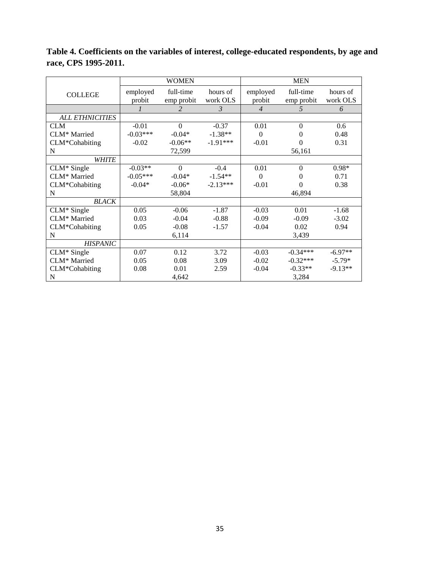|                        |            | <b>WOMEN</b> |            |                | <b>MEN</b>       |           |
|------------------------|------------|--------------|------------|----------------|------------------|-----------|
| <b>COLLEGE</b>         | employed   | full-time    | hours of   | employed       | full-time        | hours of  |
|                        | probit     | emp probit   | work OLS   | probit         | emp probit       | work OLS  |
|                        |            | 2            | 3          | $\overline{4}$ | 5                | 6         |
| <b>ALL ETHNICITIES</b> |            |              |            |                |                  |           |
| <b>CLM</b>             | $-0.01$    | $\Omega$     | $-0.37$    | 0.01           | $\theta$         | 0.6       |
| CLM* Married           | $-0.03***$ | $-0.04*$     | $-1.38**$  | $\Omega$       | 0                | 0.48      |
| CLM*Cohabiting         | $-0.02$    | $-0.06**$    | $-1.91***$ | $-0.01$        | 0                | 0.31      |
| N                      |            | 72,599       |            |                | 56,161           |           |
| <b>WHITE</b>           |            |              |            |                |                  |           |
| $CLM*$ Single          | $-0.03**$  | $\theta$     | $-0.4$     | 0.01           | $\boldsymbol{0}$ | $0.98*$   |
| CLM* Married           | $-0.05***$ | $-0.04*$     | $-1.54**$  | $\Omega$       | 0                | 0.71      |
| CLM*Cohabiting         | $-0.04*$   | $-0.06*$     | $-2.13***$ | $-0.01$        | $\theta$         | 0.38      |
| N                      |            | 58,804       |            |                | 46,894           |           |
| <b>BLACK</b>           |            |              |            |                |                  |           |
| $CLM*$ Single          | 0.05       | $-0.06$      | $-1.87$    | $-0.03$        | 0.01             | $-1.68$   |
| CLM* Married           | 0.03       | $-0.04$      | $-0.88$    | $-0.09$        | $-0.09$          | $-3.02$   |
| CLM*Cohabiting         | 0.05       | $-0.08$      | $-1.57$    | $-0.04$        | 0.02             | 0.94      |
| N                      |            | 6,114        |            |                | 3,439            |           |
| <b>HISPANIC</b>        |            |              |            |                |                  |           |
| $CLM*$ Single          | 0.07       | 0.12         | 3.72       | $-0.03$        | $-0.34***$       | $-6.97**$ |
| CLM* Married           | 0.05       | 0.08         | 3.09       | $-0.02$        | $-0.32***$       | $-5.79*$  |
| CLM*Cohabiting         | 0.08       | 0.01         | 2.59       | $-0.04$        | $-0.33**$        | $-9.13**$ |
| N                      |            | 4,642        |            |                | 3,284            |           |

**Table 4. Coefficients on the variables of interest, college-educated respondents, by age and race, CPS 1995-2011.**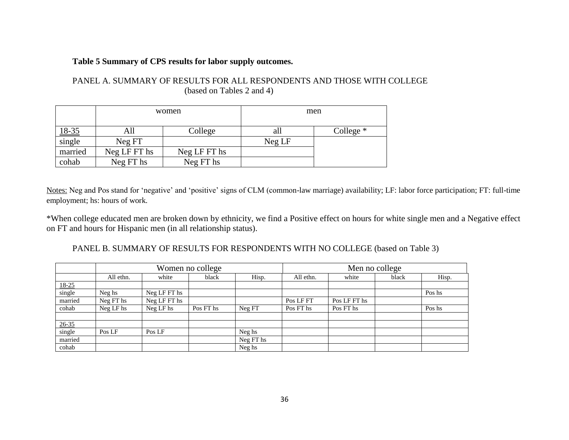## **Table 5 Summary of CPS results for labor supply outcomes.**

| PANEL A. SUMMARY OF RESULTS FOR ALL RESPONDENTS AND THOSE WITH COLLEGE |
|------------------------------------------------------------------------|
| (based on Tables 2 and 4)                                              |

|              |              | women        |        | men         |
|--------------|--------------|--------------|--------|-------------|
| <u>18-35</u> | AШ           | College      | all    | College $*$ |
| single       | Neg FT       |              | Neg LF |             |
| married      | Neg LF FT hs | Neg LF FT hs |        |             |
| cohab        | Neg FT hs    | Neg FT hs    |        |             |

Notes: Neg and Pos stand for 'negative' and 'positive' signs of CLM (common-law marriage) availability; LF: labor force participation; FT: full-time employment; hs: hours of work.

\*When college educated men are broken down by ethnicity, we find a Positive effect on hours for white single men and a Negative effect on FT and hours for Hispanic men (in all relationship status).

PANEL B. SUMMARY OF RESULTS FOR RESPONDENTS WITH NO COLLEGE (based on Table 3)

|                               |           |              | Women no college |           |           | Men no college |       |        |  |
|-------------------------------|-----------|--------------|------------------|-----------|-----------|----------------|-------|--------|--|
|                               | All ethn. | white        | black            | Hisp.     | All ethn. | white          | black | Hisp.  |  |
|                               |           |              |                  |           |           |                |       |        |  |
| $\frac{18-25}{\text{single}}$ | Neg hs    | Neg LF FT hs |                  |           |           |                |       | Pos hs |  |
| married                       | Neg FT hs | Neg LF FT hs |                  |           | Pos LF FT | Pos LF FT hs   |       |        |  |
| cohab                         | Neg LF hs | Neg LF hs    | Pos FT hs        | Neg FT    | Pos FT hs | Pos FT hs      |       | Pos hs |  |
|                               |           |              |                  |           |           |                |       |        |  |
| $26 - 35$                     |           |              |                  |           |           |                |       |        |  |
| single                        | Pos LF    | Pos LF       |                  | Neg hs    |           |                |       |        |  |
| married                       |           |              |                  | Neg FT hs |           |                |       |        |  |
| cohab                         |           |              |                  | Neg hs    |           |                |       |        |  |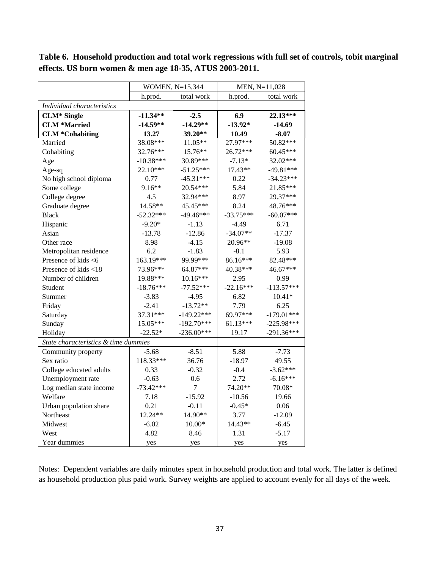|                                      |             | WOMEN, N=15,344 |             | MEN, N=11,028 |
|--------------------------------------|-------------|-----------------|-------------|---------------|
|                                      | h.prod.     | total work      | h.prod.     | total work    |
| Individual characteristics           |             |                 |             |               |
| <b>CLM*</b> Single                   | $-11.34**$  | $-2.5$          | 6.9         | 22.13***      |
| <b>CLM *Married</b>                  | $-14.59**$  | $-14.29**$      | $-13.92*$   | $-14.69$      |
| <b>CLM *Cohabiting</b>               | 13.27       | 39.20**         | 10.49       | $-8.07$       |
| Married                              | 38.08***    | $11.05**$       | 27.97***    | 50.82***      |
| Cohabiting                           | 32.76***    | $15.76**$       | $26.72***$  | $60.45***$    |
| Age                                  | $-10.38***$ | 30.89***        | $-7.13*$    | 32.02***      |
| Age-sq                               | $22.10***$  | $-51.25***$     | 17.43**     | $-49.81***$   |
| No high school diploma               | 0.77        | $-45.31***$     | 0.22        | $-34.23***$   |
| Some college                         | $9.16**$    | 20.54***        | 5.84        | 21.85***      |
| College degree                       | 4.5         | 32.94***        | 8.97        | 29.37***      |
| Graduate degree                      | 14.58**     | 45.45***        | 8.24        | 48.76***      |
| <b>Black</b>                         | $-52.32***$ | $-49.46***$     | $-33.75***$ | $-60.07***$   |
| Hispanic                             | $-9.20*$    | $-1.13$         | $-4.49$     | 6.71          |
| Asian                                | $-13.78$    | $-12.86$        | $-34.07**$  | $-17.37$      |
| Other race                           | 8.98        | $-4.15$         | 20.96**     | $-19.08$      |
| Metropolitan residence               | 6.2         | $-1.83$         | $-8.1$      | 5.93          |
| Presence of kids <6                  | 163.19***   | 99.99***        | 86.16***    | 82.48***      |
| Presence of kids <18                 | 73.96***    | 64.87***        | 40.38***    | 46.67***      |
| Number of children                   | 19.88***    | $10.16***$      | 2.95        | 0.99          |
| Student                              | $-18.76***$ | $-77.52***$     | $-22.16***$ | $-113.57***$  |
| Summer                               | $-3.83$     | $-4.95$         | 6.82        | $10.41*$      |
| Friday                               | $-2.41$     | $-13.72**$      | 7.79        | 6.25          |
| Saturday                             | 37.31***    | $-149.22***$    | 69.97***    | $-179.01***$  |
| Sunday                               | 15.05***    | $-192.70***$    | $61.13***$  | $-225.98***$  |
| Holiday                              | $-22.52*$   | $-236.00***$    | 19.17       | $-291.36***$  |
| State characteristics & time dummies |             |                 |             |               |
| Community property                   | $-5.68$     | $-8.51$         | 5.88        | $-7.73$       |
| Sex ratio                            | 118.33***   | 36.76           | $-18.97$    | 49.55         |
| College educated adults              | 0.33        | $-0.32$         | $-0.4$      | $-3.62***$    |
| Unemployment rate                    | $-0.63$     | 0.6             | 2.72        | $-6.16***$    |
| Log median state income              | $-73.42***$ | $\overline{7}$  | 74.20**     | 70.08*        |
| Welfare                              | 7.18        | $-15.92$        | $-10.56$    | 19.66         |
| Urban population share               | 0.21        | $-0.11$         | $-0.45*$    | 0.06          |
| Northeast                            | 12.24**     | 14.90**         | 3.77        | $-12.09$      |
| Midwest                              | $-6.02$     | $10.00*$        | 14.43**     | $-6.45$       |
| West                                 | 4.82        | 8.46            | 1.31        | $-5.17$       |
| Year dummies                         | yes         | yes             | yes         | yes           |

**Table 6. Household production and total work regressions with full set of controls, tobit marginal effects. US born women & men age 18-35, ATUS 2003-2011.** 

Notes: Dependent variables are daily minutes spent in household production and total work. The latter is defined as household production plus paid work. Survey weights are applied to account evenly for all days of the week.